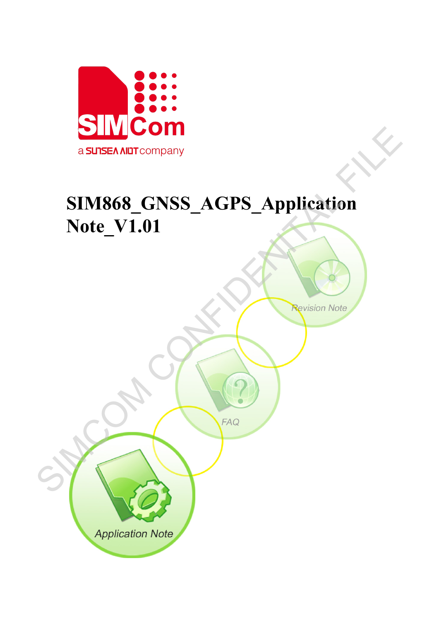

# **SIM868\_GNSS\_AGPS\_Application Note\_V1.01** SIM868\_GNSS\_AGPS\_Application

**Application Note**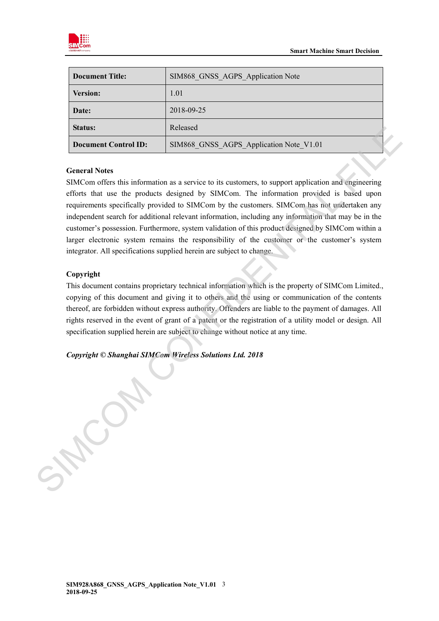

| <b>Document Title:</b>      | SIM868 GNSS AGPS Application Note       |
|-----------------------------|-----------------------------------------|
| <b>Version:</b>             | 1.01                                    |
| Date:                       | 2018-09-25                              |
| <b>Status:</b>              | Released                                |
| <b>Document Control ID:</b> | SIM868 GNSS AGPS Application Note V1.01 |

### **General Notes**

SIMCom offers this information as a service to its customers, to support application and engineering efforts that use the products designed by SIMCom. The information provided is based upon requirements specifically provided to SIMCom by the customers. SIMCom has not undertaken any independent search for additional relevant information, including any information that may be in the customer's possession. Furthermore, system validation of this product designed by SIMCom within a larger electronic system remains the responsibility of the customer or the customer's system integrator. All specifications supplied herein are subject to change. Status:<br>
Referenced Material Tries<br>
Concurrent Control ID: SIMS68\_CNSS\_AGPS\_Application Note\_V1.01<br>
Concurrent Notes<br>
SIMCom offers this information as a service to its usaforms, to support application and engineering<br>
ef

### **Copyright**

This document contains proprietary technical information which is the property of SIMCom Limited., copying of this document and giving it to others and the using or communication of the contents thereof, are forbidden without express authority. Offenders are liable to the payment of damages. All rights reserved in the event of grant of a patent or the registration of a utility model or design. All specification supplied herein are subject to change without notice at any time.

*Copyright © Shanghai SIMCom Wireless Solutions Ltd. 2018*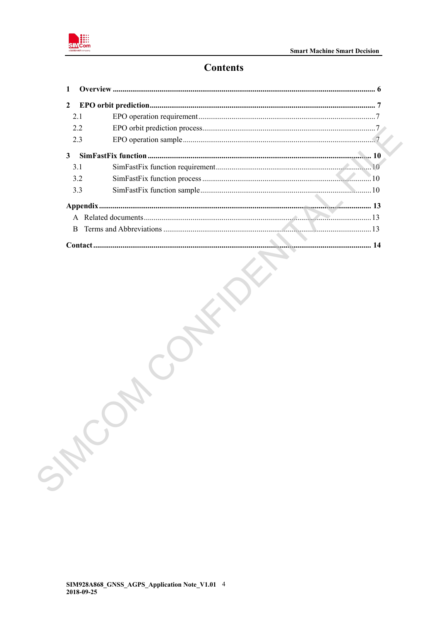

# **Contents**

| LCO |  |
|-----|--|
|     |  |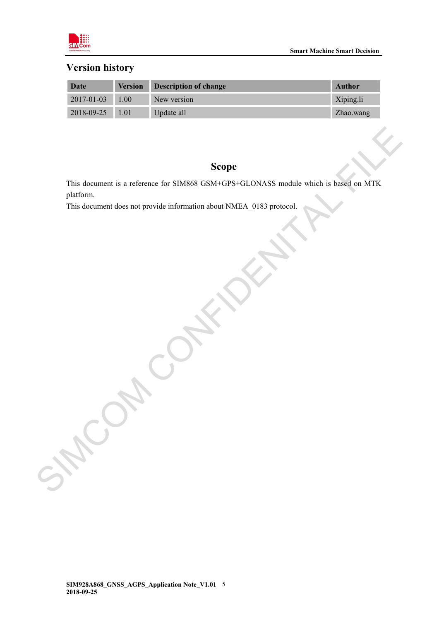

# **Version history**

| Date             |      | <b>Version Description of change</b> | <b>Author</b> |
|------------------|------|--------------------------------------|---------------|
| $2017 - 01 - 03$ | 1.00 | New version                          | Xiping.li     |
| 2018-09-25 1.01  |      | Update all                           | Zhao.wang     |

# **Scope**

This document is a reference for SIM868 GSM+GPS+GLONASS module which is based on MTK platform. Scope<br>
This document is a reference for SIM868 GSM:GPS:GLONASS modale which is based on MTK<br>
This document does not provide information about NMEA\_0183 protocol.<br>
A CONFIDENT CONFIDENT PROPERTY AND RESERVE ON A SAFEKEEPING

This document does not provide information about NMEA\_0183 protocol.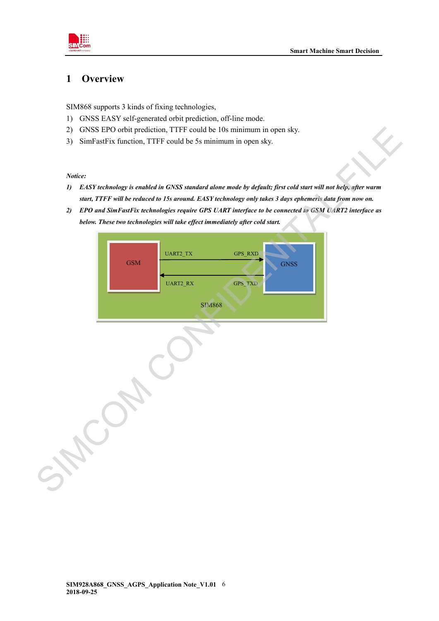

# <span id="page-4-0"></span>**1 Overview**

SIM868 supports 3 kinds of fixing technologies,

- 1) GNSS EASY self-generated orbit prediction, off-line mode.
- 2) GNSS EPO orbit prediction, TTFF could be 10s minimum in open sky.
- 3) SimFastFix function, TTFF could be 5s minimum in open sky.

*Notice:*

- *1) EASY technology is enabled in GNSS standard alone mode by default; first cold start will not help, after warm start, TTFF will be reduced to 15s around. EASY technology only takes 3 days ephemeris data from now on.*
- *2) EPO and SimFastFix technologies require GPS UART interface to be connected to GSM UART2 interface as below. These two technologies will take effect immediately after cold start.*

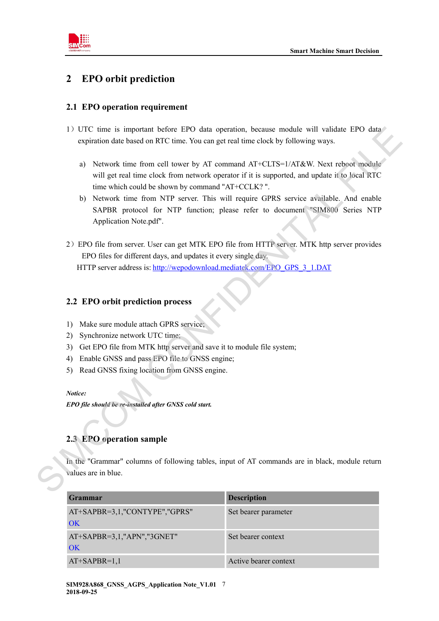

# <span id="page-5-0"></span>**2 EPO orbit prediction**

### <span id="page-5-1"></span>**2.1 EPO operation requirement**

- 1)UTC time is important before EPO data operation, because module will validate EPO data expiration date based on RTC time. You can get real time clock by following ways.
	- a) Network time from cell tower by AT command AT+CLTS=1/AT&W. Next reboot module will get real time clock from network operator if it is supported, and update it to local RTC time which could be shown by command "AT+CCLK? ".
	- b) Network time from NTP server. This will require GPRS service available. And enable SAPBR protocol for NTP function; please refer to document "SIM800 Series NTP Application Note.pdf".
- 2)EPO file from server. User can get MTK EPO file from HTTP server. MTK http server provides EPO files for different days, and updates it every single day. HTTP server address is: http://wepodownload.mediatek.com/EPO\_GPS\_3\_1.DAT 1) UTC time is important before EPO data operation, because module will valid<br>at explorime to start and RTC time. You can get real time clock by following ways.<br>
2) Network time from cell tower by AT command AT+CLTS=1/AT&

### <span id="page-5-2"></span>**2.2 EPO orbit prediction process**

- 1) Make sure module attach GPRS service;
- 2) Synchronize network UTC time;
- 3) Get EPO file from MTK http server and save it to module file system;
- 4) Enable GNSS and pass EPO file to GNSS engine;
- 5) Read GNSS fixing location from GNSS engine.

### *Notice:*

*EPO file should be re-installed after GNSS cold start.*

### <span id="page-5-3"></span>**2.3 EPO operation sample**

In the "Grammar" columns of following tables, input of AT commands are in black, module return values are in blue.

| Grammar                             | <b>Description</b>    |
|-------------------------------------|-----------------------|
| AT+SAPBR=3,1,"CONTYPE","GPRS"<br>OK | Set bearer parameter  |
| AT+SAPBR=3,1,"APN","3GNET"<br>OK    | Set bearer context    |
| $AT+SAPBR=1,1$                      | Active bearer context |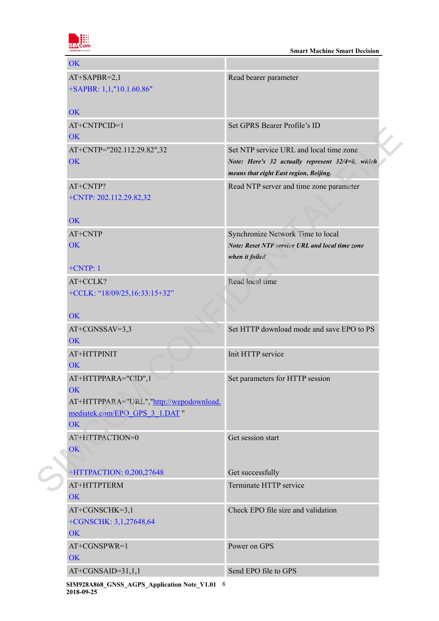

| OK                                                                                                                         |                                                                                                                                       |
|----------------------------------------------------------------------------------------------------------------------------|---------------------------------------------------------------------------------------------------------------------------------------|
| $AT+SAPBR=2,1$<br>+SAPBR: 1,1,"10.1.60.86"                                                                                 | Read bearer parameter                                                                                                                 |
| <b>OK</b>                                                                                                                  |                                                                                                                                       |
| AT+CNTPCID=1<br><b>OK</b>                                                                                                  | Set GPRS Bearer Profile's ID                                                                                                          |
| AT+CNTP="202.112.29.82",32<br><b>OK</b>                                                                                    | Set NTP service URL and local time zone<br>Note: Here's 32 actually represent 32/4=8, which<br>means that eight East region, Beijing. |
| AT+CNTP?<br>+CNTP: 202.112.29.82,32                                                                                        | Read NTP server and time zone parameter                                                                                               |
| <b>OK</b>                                                                                                                  |                                                                                                                                       |
| AT+CNTP<br>OK                                                                                                              | Synchronize Network Time to local<br>Note: Reset NTP service URL and local time zone<br>when it failed                                |
| $+CNTP:1$                                                                                                                  |                                                                                                                                       |
| AT+CCLK?<br>+CCLK: "18/09/25,16:33:15+32"                                                                                  | Read local time                                                                                                                       |
| OK                                                                                                                         |                                                                                                                                       |
| $AT+CGNSSAV=3,3$<br><b>OK</b>                                                                                              | Set HTTP download mode and save EPO to PS                                                                                             |
| AT+HTTPINIT<br><b>OK</b>                                                                                                   | Init HTTP service                                                                                                                     |
| AT+HTTPPARA="CID",1<br><b>OK</b><br>AT+HTTPPARA="URL","http://wepodownload.<br>mediatek.com/EPO GPS 3 1.DAT "<br><b>OK</b> | Set parameters for HTTP session                                                                                                       |
| AT+HTTPACTION=0<br>OK                                                                                                      | Get session start                                                                                                                     |
| +HTTPACTION: 0,200,27648                                                                                                   | Get successfully                                                                                                                      |
| AT+HTTPTERM<br>OK                                                                                                          | Terminate HTTP service                                                                                                                |
| AT+CGNSCHK=3,1<br>+CGNSCHK: 3,1,27648,64<br><b>OK</b>                                                                      | Check EPO file size and validation                                                                                                    |
| AT+CGNSPWR=1<br><b>OK</b>                                                                                                  | Power on GPS                                                                                                                          |
| $AT+CGNSAID=31,1,1$                                                                                                        | Send EPO file to GPS                                                                                                                  |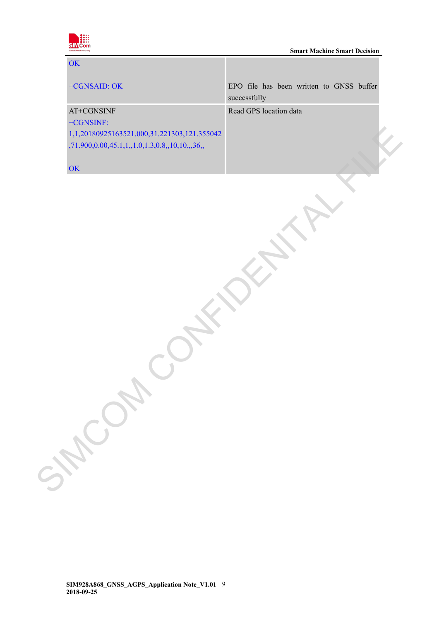

| EPO file has been written to GNSS buffer<br>+CGNSAID: OK<br>successfully<br>Read GPS location data<br>AT+CGNSINF<br>+CGNSINF:<br>1,1,20180925163521.000,31.221303,121.355042<br>,71.900,0.00,45.1,1,,1.0,1.3,0.8,,10,10,,,36,,<br>OK |  |  | OK |  |
|--------------------------------------------------------------------------------------------------------------------------------------------------------------------------------------------------------------------------------------|--|--|----|--|
|                                                                                                                                                                                                                                      |  |  |    |  |
|                                                                                                                                                                                                                                      |  |  |    |  |
|                                                                                                                                                                                                                                      |  |  |    |  |
|                                                                                                                                                                                                                                      |  |  |    |  |
|                                                                                                                                                                                                                                      |  |  |    |  |
|                                                                                                                                                                                                                                      |  |  |    |  |
|                                                                                                                                                                                                                                      |  |  |    |  |
|                                                                                                                                                                                                                                      |  |  |    |  |
| SHCOH                                                                                                                                                                                                                                |  |  |    |  |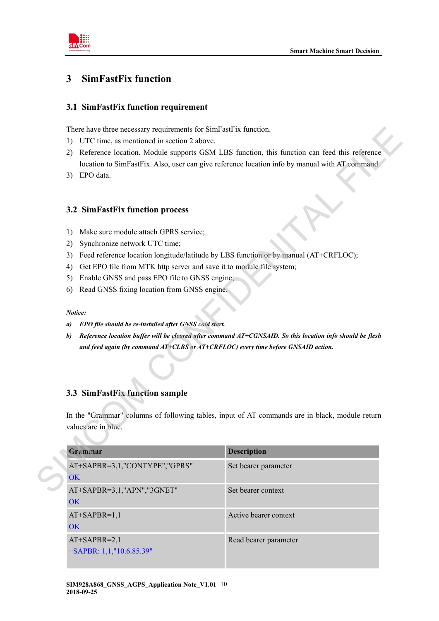

# <span id="page-8-0"></span>**3 SimFastFix function**

### <span id="page-8-1"></span>**3.1 SimFastFix function requirement**

There have three necessary requirements for SimFastFix function.

- 1) UTC time, as mentioned in section 2 above.
- 2) Reference location. Module supports GSM LBS function, this function can feed this reference location to SimFastFix. Also, user can give reference location info by manual with AT command.
- 3) EPO data.

### <span id="page-8-2"></span>**3.2 SimFastFix function process**

- 1) Make sure module attach GPRS service;
- 2) Synchronize network UTC time;
- 3) Feed reference location longitude/latitude by LBS function or by manual (AT+CRFLOC);
- 4) Get EPO file from MTK http server and save it to module file system;
- 5) Enable GNSS and pass EPO file to GNSS engine;
- 6) Read GNSS fixing location from GNSS engine.

### *Notice:*

- *a) EPO file should be re-installed after GNSS cold start.*
- *b) Reference location buffer will be cleared after command AT+CGNSAID. So this location info should be flesh and feed again (by command AT+CLBS or AT+CRFLOC) every time before GNSAID action.*

### <span id="page-8-3"></span>**3.3 SimFastFix function sample**

| UTC time, as mentioned in section 2 above.<br>1)<br>Reference location. Module supports GSM LBS function, this function can feed this reference<br>2)<br>location to SimFastFix. Also, user can give reference location info by manual with AT command.<br>EPO data.<br>3)<br>3.2 SimFastFix function process<br>Make sure module attach GPRS service;<br>1)<br>Synchronize network UTC time;<br>2)<br>Feed reference location longitude/latitude by LBS function or by manual (AT+CRFLOC);<br>3)<br>Get EPO file from MTK http server and save it to module file system;<br>4)<br>Enable GNSS and pass EPO file to GNSS engine;<br>5)<br>Read GNSS fixing location from GNSS engine.<br>6)<br>Notice:<br>EPO file should be re-installed after GNSS cold start.<br>a)<br>Reference location buffer will be cleared after command AT+CGNSAID. So this location info should be flesh<br>b)<br>and feed again (by command $AT+CLES$ or $AT+CRELOC$ ) every time before GNSAID action.<br>3.3 SimFastFix function sample |  |
|-----------------------------------------------------------------------------------------------------------------------------------------------------------------------------------------------------------------------------------------------------------------------------------------------------------------------------------------------------------------------------------------------------------------------------------------------------------------------------------------------------------------------------------------------------------------------------------------------------------------------------------------------------------------------------------------------------------------------------------------------------------------------------------------------------------------------------------------------------------------------------------------------------------------------------------------------------------------------------------------------------------------------|--|
|                                                                                                                                                                                                                                                                                                                                                                                                                                                                                                                                                                                                                                                                                                                                                                                                                                                                                                                                                                                                                       |  |
|                                                                                                                                                                                                                                                                                                                                                                                                                                                                                                                                                                                                                                                                                                                                                                                                                                                                                                                                                                                                                       |  |
|                                                                                                                                                                                                                                                                                                                                                                                                                                                                                                                                                                                                                                                                                                                                                                                                                                                                                                                                                                                                                       |  |
|                                                                                                                                                                                                                                                                                                                                                                                                                                                                                                                                                                                                                                                                                                                                                                                                                                                                                                                                                                                                                       |  |
|                                                                                                                                                                                                                                                                                                                                                                                                                                                                                                                                                                                                                                                                                                                                                                                                                                                                                                                                                                                                                       |  |
|                                                                                                                                                                                                                                                                                                                                                                                                                                                                                                                                                                                                                                                                                                                                                                                                                                                                                                                                                                                                                       |  |
|                                                                                                                                                                                                                                                                                                                                                                                                                                                                                                                                                                                                                                                                                                                                                                                                                                                                                                                                                                                                                       |  |
|                                                                                                                                                                                                                                                                                                                                                                                                                                                                                                                                                                                                                                                                                                                                                                                                                                                                                                                                                                                                                       |  |
|                                                                                                                                                                                                                                                                                                                                                                                                                                                                                                                                                                                                                                                                                                                                                                                                                                                                                                                                                                                                                       |  |
|                                                                                                                                                                                                                                                                                                                                                                                                                                                                                                                                                                                                                                                                                                                                                                                                                                                                                                                                                                                                                       |  |
|                                                                                                                                                                                                                                                                                                                                                                                                                                                                                                                                                                                                                                                                                                                                                                                                                                                                                                                                                                                                                       |  |
|                                                                                                                                                                                                                                                                                                                                                                                                                                                                                                                                                                                                                                                                                                                                                                                                                                                                                                                                                                                                                       |  |
|                                                                                                                                                                                                                                                                                                                                                                                                                                                                                                                                                                                                                                                                                                                                                                                                                                                                                                                                                                                                                       |  |
|                                                                                                                                                                                                                                                                                                                                                                                                                                                                                                                                                                                                                                                                                                                                                                                                                                                                                                                                                                                                                       |  |
|                                                                                                                                                                                                                                                                                                                                                                                                                                                                                                                                                                                                                                                                                                                                                                                                                                                                                                                                                                                                                       |  |
|                                                                                                                                                                                                                                                                                                                                                                                                                                                                                                                                                                                                                                                                                                                                                                                                                                                                                                                                                                                                                       |  |
|                                                                                                                                                                                                                                                                                                                                                                                                                                                                                                                                                                                                                                                                                                                                                                                                                                                                                                                                                                                                                       |  |
| In the "Grammar" columns of following tables, input of AT commands are in black, module return                                                                                                                                                                                                                                                                                                                                                                                                                                                                                                                                                                                                                                                                                                                                                                                                                                                                                                                        |  |
| values are in blue.                                                                                                                                                                                                                                                                                                                                                                                                                                                                                                                                                                                                                                                                                                                                                                                                                                                                                                                                                                                                   |  |
|                                                                                                                                                                                                                                                                                                                                                                                                                                                                                                                                                                                                                                                                                                                                                                                                                                                                                                                                                                                                                       |  |
| <b>Description</b><br>Grammar                                                                                                                                                                                                                                                                                                                                                                                                                                                                                                                                                                                                                                                                                                                                                                                                                                                                                                                                                                                         |  |
| AT+SAPBR=3,1,"CONTYPE","GPRS"<br>Set bearer parameter                                                                                                                                                                                                                                                                                                                                                                                                                                                                                                                                                                                                                                                                                                                                                                                                                                                                                                                                                                 |  |
| OK                                                                                                                                                                                                                                                                                                                                                                                                                                                                                                                                                                                                                                                                                                                                                                                                                                                                                                                                                                                                                    |  |
|                                                                                                                                                                                                                                                                                                                                                                                                                                                                                                                                                                                                                                                                                                                                                                                                                                                                                                                                                                                                                       |  |
|                                                                                                                                                                                                                                                                                                                                                                                                                                                                                                                                                                                                                                                                                                                                                                                                                                                                                                                                                                                                                       |  |
| AT+SAPBR=3,1,"APN","3GNET"<br>Set bearer context<br><b>OK</b>                                                                                                                                                                                                                                                                                                                                                                                                                                                                                                                                                                                                                                                                                                                                                                                                                                                                                                                                                         |  |
|                                                                                                                                                                                                                                                                                                                                                                                                                                                                                                                                                                                                                                                                                                                                                                                                                                                                                                                                                                                                                       |  |
| Active bearer context<br>AT+SAPBR=1,1                                                                                                                                                                                                                                                                                                                                                                                                                                                                                                                                                                                                                                                                                                                                                                                                                                                                                                                                                                                 |  |
| <b>OK</b><br>Read bearer parameter<br>$AT+SAPBR=2,1$                                                                                                                                                                                                                                                                                                                                                                                                                                                                                                                                                                                                                                                                                                                                                                                                                                                                                                                                                                  |  |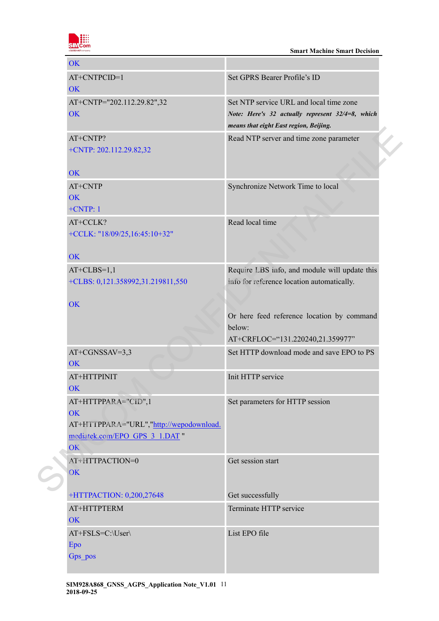

| <b>OK</b>                                                                                                           |                                                                                                                                       |
|---------------------------------------------------------------------------------------------------------------------|---------------------------------------------------------------------------------------------------------------------------------------|
| AT+CNTPCID=1<br><b>OK</b>                                                                                           | Set GPRS Bearer Profile's ID                                                                                                          |
| AT+CNTP="202.112.29.82",32<br>OK                                                                                    | Set NTP service URL and local time zone<br>Note: Here's 32 actually represent 32/4=8, which<br>means that eight East region, Beijing. |
| AT+CNTP?<br>+CNTP: 202.112.29.82,32                                                                                 | Read NTP server and time zone parameter                                                                                               |
| <b>OK</b>                                                                                                           |                                                                                                                                       |
| AT+CNTP<br><b>OK</b>                                                                                                | Synchronize Network Time to local                                                                                                     |
| $+CNTP:1$                                                                                                           |                                                                                                                                       |
| AT+CCLK?<br>+CCLK: "18/09/25,16:45:10+32"                                                                           | Read local time                                                                                                                       |
| <b>OK</b>                                                                                                           |                                                                                                                                       |
| $AT+CLBS=1,1$                                                                                                       | Require LBS info, and module will update this                                                                                         |
| +CLBS: 0,121.358992,31.219811,550                                                                                   | info for reference location automatically.                                                                                            |
| OK                                                                                                                  | Or here feed reference location by command<br>below:<br>AT+CRFLOC="131.220240,21.359977"                                              |
| $AT+CGNSSAV=3,3$<br><b>OK</b>                                                                                       | Set HTTP download mode and save EPO to PS                                                                                             |
| AT+HTTPINIT<br>OK                                                                                                   | Init HTTP service                                                                                                                     |
| AT+HTTPPARA="CID",1<br><b>OK</b><br>AT+HTTPPARA="URL","http://wepodownload.<br>mediatek.com/EPO GPS 3 1.DAT "<br>OK | Set parameters for HTTP session                                                                                                       |
| AT+HTTPACTION=0<br>OK                                                                                               | Get session start                                                                                                                     |
| +HTTPACTION: 0,200,27648                                                                                            | Get successfully                                                                                                                      |
| AT+HTTPTERM<br>OK                                                                                                   | Terminate HTTP service                                                                                                                |
| AT+FSLS=C:\User\<br>Epo<br>Gps_pos                                                                                  | List EPO file                                                                                                                         |
|                                                                                                                     |                                                                                                                                       |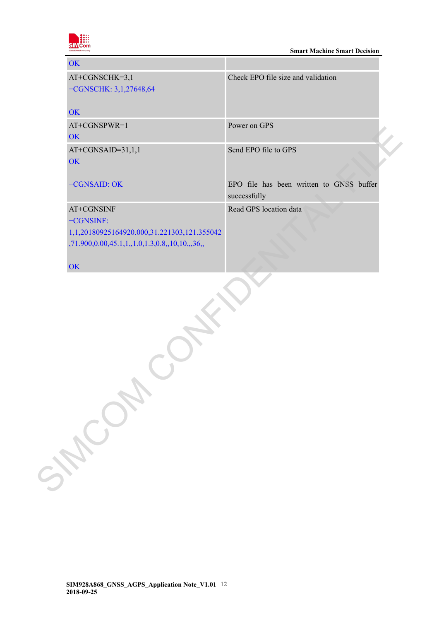

| OK                                                                                                                             |                                                          |
|--------------------------------------------------------------------------------------------------------------------------------|----------------------------------------------------------|
| $AT+CGNSCHK=3,1$<br>+CGNSCHK: 3,1,27648,64<br><b>OK</b>                                                                        | Check EPO file size and validation                       |
| $AT+CGNSPWR=1$<br>OK                                                                                                           | Power on GPS                                             |
| $AT+CGNSAID=31,1,1$<br><b>OK</b>                                                                                               | Send EPO file to GPS                                     |
| +CGNSAID: OK                                                                                                                   | EPO file has been written to GNSS buffer<br>successfully |
| AT+CGNSINF<br>+CGNSINF:<br>1,1,20180925164920.000,31.221303,121.355042<br>$,71.900, 0.00, 45.1, 1, 1.0, 1.3, 0.8, 10, 10, 36,$ | Read GPS location data                                   |

**OK** 

SIMCOM CONFILM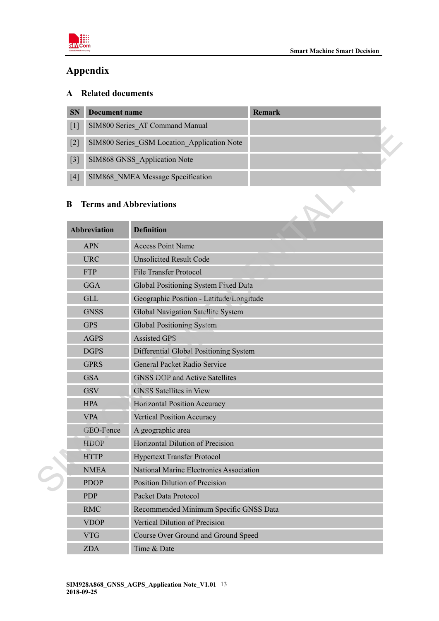

# <span id="page-11-0"></span>**Appendix**

# <span id="page-11-1"></span>**A Related documents**

| <b>SN</b> | Document name                               | <b>Remark</b> |  |
|-----------|---------------------------------------------|---------------|--|
| $[1]$     | SIM800 Series AT Command Manual             |               |  |
| $[2]$     | SIM800 Series GSM Location Application Note |               |  |
| $[3]$     | SIM868 GNSS Application Note                |               |  |
| [4]       | SIM868 NMEA Message Specification           |               |  |

### <span id="page-11-2"></span>**B Terms and Abbreviations**

| [T]   |                     | STIVIOUU SCHES AT COMMITATIO MANUAH         |
|-------|---------------------|---------------------------------------------|
| $[2]$ |                     | SIM800 Series_GSM Location_Application Note |
| $[3]$ |                     | SIM868 GNSS_Application Note                |
| $[4]$ |                     | SIM868 NMEA Message Specification           |
| B     |                     | <b>Terms and Abbreviations</b>              |
|       | <b>Abbreviation</b> | <b>Definition</b>                           |
|       | <b>APN</b>          | <b>Access Point Name</b>                    |
|       | <b>URC</b>          | <b>Unsolicited Result Code</b>              |
|       | <b>FTP</b>          | <b>File Transfer Protocol</b>               |
|       | <b>GGA</b>          | Global Positioning System Fixed Data        |
|       | <b>GLL</b>          | Geographic Position - Latitude/Longitude    |
|       | <b>GNSS</b>         | Global Navigation Satellite System          |
|       | <b>GPS</b>          | Global Positioning System                   |
|       | <b>AGPS</b>         | <b>Assisted GPS</b>                         |
|       | <b>DGPS</b>         | Differential Global Positioning System      |
|       | <b>GPRS</b>         | General Packet Radio Service                |
|       | <b>GSA</b>          | <b>GNSS DOP and Active Satellites</b>       |
|       | <b>GSV</b>          | <b>GNSS</b> Satellites in View              |
|       | <b>HPA</b>          | Horizontal Position Accuracy                |
|       | <b>VPA</b>          | <b>Vertical Position Accuracy</b>           |
|       | GEO-Fence           | A geographic area                           |
|       | <b>HDOP</b>         | Horizontal Dilution of Precision            |
|       | <b>HTTP</b>         | <b>Hypertext Transfer Protocol</b>          |
|       | <b>NMEA</b>         | National Marine Electronics Association     |
|       | <b>PDOP</b>         | Position Dilution of Precision              |
|       | <b>PDP</b>          | Packet Data Protocol                        |
|       | <b>RMC</b>          | Recommended Minimum Specific GNSS Data      |
|       | <b>VDOP</b>         | Vertical Dilution of Precision              |
|       | <b>VTG</b>          | Course Over Ground and Ground Speed         |
|       | <b>ZDA</b>          | Time & Date                                 |